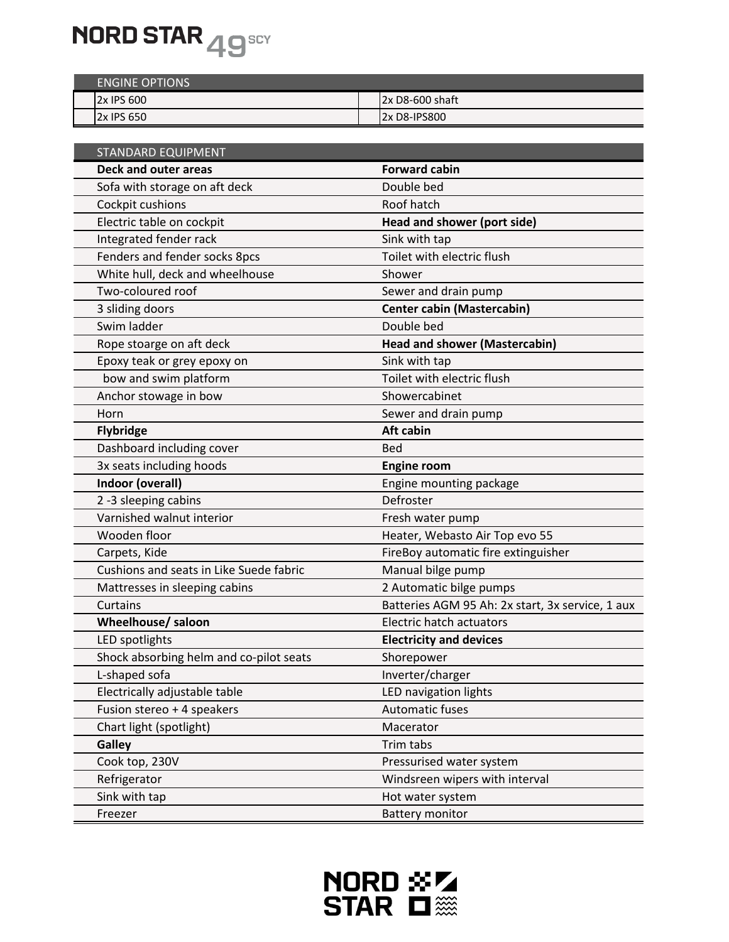

| <b>ENGINE OPTIONS</b> |                 |
|-----------------------|-----------------|
| 2x IPS 600            | 2x D8-600 shaft |
| 2x IPS 650            | 2x D8-IPS800    |

| <b>STANDARD EQUIPMENT</b>               |                                                  |
|-----------------------------------------|--------------------------------------------------|
| <b>Deck and outer areas</b>             | <b>Forward cabin</b>                             |
| Sofa with storage on aft deck           | Double bed                                       |
| Cockpit cushions                        | Roof hatch                                       |
| Electric table on cockpit               | Head and shower (port side)                      |
| Integrated fender rack                  | Sink with tap                                    |
| Fenders and fender socks 8pcs           | Toilet with electric flush                       |
| White hull, deck and wheelhouse         | Shower                                           |
| Two-coloured roof                       | Sewer and drain pump                             |
| 3 sliding doors                         | <b>Center cabin (Mastercabin)</b>                |
| Swim ladder                             | Double bed                                       |
| Rope stoarge on aft deck                | <b>Head and shower (Mastercabin)</b>             |
| Epoxy teak or grey epoxy on             | Sink with tap                                    |
| bow and swim platform                   | Toilet with electric flush                       |
| Anchor stowage in bow                   | Showercabinet                                    |
| Horn                                    | Sewer and drain pump                             |
| <b>Flybridge</b>                        | <b>Aft cabin</b>                                 |
| Dashboard including cover               | <b>Bed</b>                                       |
| 3x seats including hoods                | <b>Engine room</b>                               |
| Indoor (overall)                        | Engine mounting package                          |
| 2 -3 sleeping cabins                    | Defroster                                        |
| Varnished walnut interior               | Fresh water pump                                 |
| Wooden floor                            | Heater, Webasto Air Top evo 55                   |
| Carpets, Kide                           | FireBoy automatic fire extinguisher              |
| Cushions and seats in Like Suede fabric | Manual bilge pump                                |
| Mattresses in sleeping cabins           | 2 Automatic bilge pumps                          |
| Curtains                                | Batteries AGM 95 Ah: 2x start, 3x service, 1 aux |
| Wheelhouse/ saloon                      | Electric hatch actuators                         |
| LED spotlights                          | <b>Electricity and devices</b>                   |
| Shock absorbing helm and co-pilot seats | Shorepower                                       |
| L-shaped sofa                           | Inverter/charger                                 |
| Electrically adjustable table           | LED navigation lights                            |
| Fusion stereo + 4 speakers              | <b>Automatic fuses</b>                           |
| Chart light (spotlight)                 | Macerator                                        |
| <b>Galley</b>                           | Trim tabs                                        |
| Cook top, 230V                          | Pressurised water system                         |
| Refrigerator                            | Windsreen wipers with interval                   |
| Sink with tap                           | Hot water system                                 |
| Freezer                                 | <b>Battery monitor</b>                           |